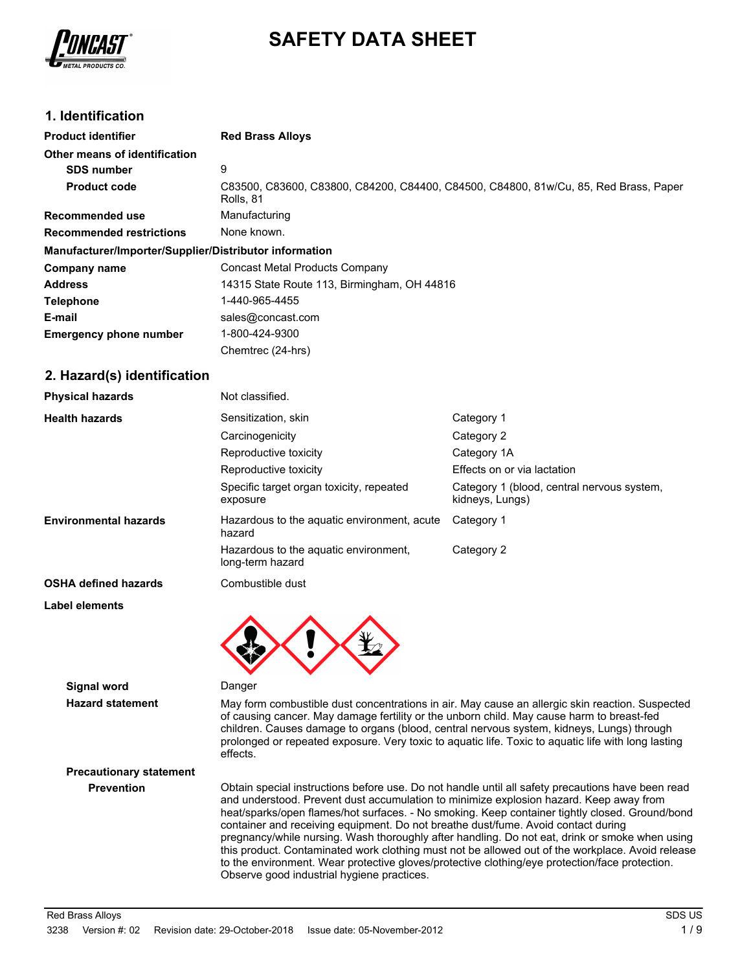

# **SAFETY DATA SHEET**

# **1. Identification**

| <b>Product identifier</b>                              | <b>Red Brass Alloys</b>                                                                           |
|--------------------------------------------------------|---------------------------------------------------------------------------------------------------|
| Other means of identification                          |                                                                                                   |
| <b>SDS number</b>                                      | 9                                                                                                 |
| <b>Product code</b>                                    | C83500, C83600, C83800, C84200, C84400, C84500, C84800, 81w/Cu, 85, Red Brass, Paper<br>Rolls, 81 |
| <b>Recommended use</b>                                 | Manufacturing                                                                                     |
| <b>Recommended restrictions</b>                        | None known.                                                                                       |
| Manufacturer/Importer/Supplier/Distributor information |                                                                                                   |
| Company name                                           | Concast Metal Products Company                                                                    |
| <b>Address</b>                                         | 14315 State Route 113, Birmingham, OH 44816                                                       |
| <b>Telephone</b>                                       | 1-440-965-4455                                                                                    |
| E-mail                                                 | sales@concast.com                                                                                 |
| <b>Emergency phone number</b>                          | 1-800-424-9300                                                                                    |
|                                                        | Chemtrec (24-hrs)                                                                                 |

# **2. Hazard(s) identification**

| <b>Physical hazards</b>      | Not classified.                                           |                                                               |
|------------------------------|-----------------------------------------------------------|---------------------------------------------------------------|
| <b>Health hazards</b>        | Sensitization, skin                                       | Category 1                                                    |
|                              | Carcinogenicity                                           | Category 2                                                    |
|                              | Reproductive toxicity                                     | Category 1A                                                   |
|                              | Reproductive toxicity                                     | Effects on or via lactation                                   |
|                              | Specific target organ toxicity, repeated<br>exposure      | Category 1 (blood, central nervous system,<br>kidneys, Lungs) |
| <b>Environmental hazards</b> | Hazardous to the aquatic environment, acute<br>hazard     | Category 1                                                    |
|                              | Hazardous to the aquatic environment,<br>long-term hazard | Category 2                                                    |
| <b>OSHA defined hazards</b>  | Combustible dust                                          |                                                               |
| <b>Label elements</b>        |                                                           |                                                               |
|                              |                                                           |                                                               |

#### **Signal word** Danger

**Hazard statement** May form combustible dust concentrations in air. May cause an allergic skin reaction. Suspected of causing cancer. May damage fertility or the unborn child. May cause harm to breast-fed children. Causes damage to organs (blood, central nervous system, kidneys, Lungs) through prolonged or repeated exposure. Very toxic to aquatic life. Toxic to aquatic life with long lasting effects.

# **Precautionary statement**

**Prevention** Obtain special instructions before use. Do not handle until all safety precautions have been read and understood. Prevent dust accumulation to minimize explosion hazard. Keep away from heat/sparks/open flames/hot surfaces. - No smoking. Keep container tightly closed. Ground/bond container and receiving equipment. Do not breathe dust/fume. Avoid contact during pregnancy/while nursing. Wash thoroughly after handling. Do not eat, drink or smoke when using this product. Contaminated work clothing must not be allowed out of the workplace. Avoid release to the environment. Wear protective gloves/protective clothing/eye protection/face protection. Observe good industrial hygiene practices.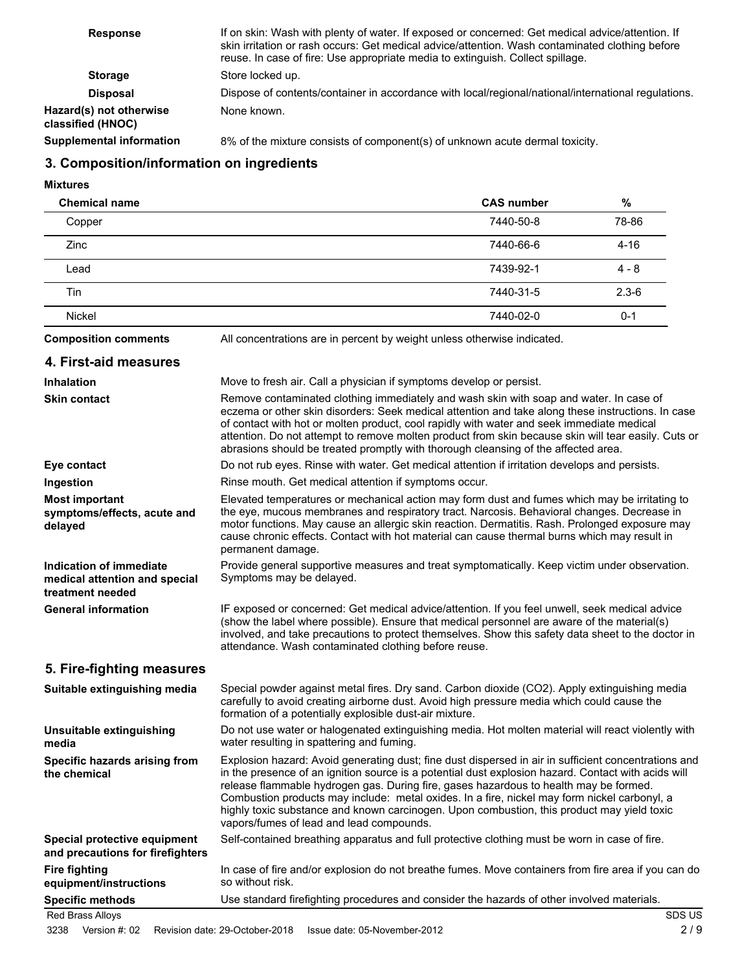| <b>Response</b>                              | If on skin: Wash with plenty of water. If exposed or concerned: Get medical advice/attention. If<br>skin irritation or rash occurs: Get medical advice/attention. Wash contaminated clothing before<br>reuse. In case of fire: Use appropriate media to extinguish. Collect spillage. |
|----------------------------------------------|---------------------------------------------------------------------------------------------------------------------------------------------------------------------------------------------------------------------------------------------------------------------------------------|
| <b>Storage</b>                               | Store locked up.                                                                                                                                                                                                                                                                      |
| <b>Disposal</b>                              | Dispose of contents/container in accordance with local/regional/national/international regulations.                                                                                                                                                                                   |
| Hazard(s) not otherwise<br>classified (HNOC) | None known.                                                                                                                                                                                                                                                                           |
| <b>Supplemental information</b>              | 8% of the mixture consists of component(s) of unknown acute dermal toxicity.                                                                                                                                                                                                          |

# **3. Composition/information on ingredients**

**Mixtures**

| <b>Chemical name</b> | <b>CAS number</b> | $\frac{9}{6}$ |
|----------------------|-------------------|---------------|
| Copper               | 7440-50-8         | 78-86         |
| <b>Zinc</b>          | 7440-66-6         | $4 - 16$      |
| Lead                 | 7439-92-1         | $4 - 8$       |
| Tin                  | 7440-31-5         | $2.3 - 6$     |
| Nickel               | 7440-02-0         | $0 - 1$       |

**Composition comments** All concentrations are in percent by weight unless otherwise indicated.

# **4. First-aid measures**

| <b>Inhalation</b>                                                                   | Move to fresh air. Call a physician if symptoms develop or persist.                                                                                                                                                                                                                                                                                                                                                                                                                                                                            |
|-------------------------------------------------------------------------------------|------------------------------------------------------------------------------------------------------------------------------------------------------------------------------------------------------------------------------------------------------------------------------------------------------------------------------------------------------------------------------------------------------------------------------------------------------------------------------------------------------------------------------------------------|
| <b>Skin contact</b>                                                                 | Remove contaminated clothing immediately and wash skin with soap and water. In case of<br>eczema or other skin disorders: Seek medical attention and take along these instructions. In case<br>of contact with hot or molten product, cool rapidly with water and seek immediate medical<br>attention. Do not attempt to remove molten product from skin because skin will tear easily. Cuts or<br>abrasions should be treated promptly with thorough cleansing of the affected area.                                                          |
| Eye contact                                                                         | Do not rub eyes. Rinse with water. Get medical attention if irritation develops and persists.                                                                                                                                                                                                                                                                                                                                                                                                                                                  |
| Ingestion                                                                           | Rinse mouth. Get medical attention if symptoms occur.                                                                                                                                                                                                                                                                                                                                                                                                                                                                                          |
| <b>Most important</b><br>symptoms/effects, acute and<br>delayed                     | Elevated temperatures or mechanical action may form dust and fumes which may be irritating to<br>the eye, mucous membranes and respiratory tract. Narcosis. Behavioral changes. Decrease in<br>motor functions. May cause an allergic skin reaction. Dermatitis. Rash. Prolonged exposure may<br>cause chronic effects. Contact with hot material can cause thermal burns which may result in<br>permanent damage.                                                                                                                             |
| <b>Indication of immediate</b><br>medical attention and special<br>treatment needed | Provide general supportive measures and treat symptomatically. Keep victim under observation.<br>Symptoms may be delayed.                                                                                                                                                                                                                                                                                                                                                                                                                      |
| <b>General information</b>                                                          | IF exposed or concerned: Get medical advice/attention. If you feel unwell, seek medical advice<br>(show the label where possible). Ensure that medical personnel are aware of the material(s)<br>involved, and take precautions to protect themselves. Show this safety data sheet to the doctor in<br>attendance. Wash contaminated clothing before reuse.                                                                                                                                                                                    |
| 5. Fire-fighting measures                                                           |                                                                                                                                                                                                                                                                                                                                                                                                                                                                                                                                                |
| Suitable extinguishing media                                                        | Special powder against metal fires. Dry sand. Carbon dioxide (CO2). Apply extinguishing media<br>carefully to avoid creating airborne dust. Avoid high pressure media which could cause the<br>formation of a potentially explosible dust-air mixture.                                                                                                                                                                                                                                                                                         |
| Unsuitable extinguishing<br>media                                                   | Do not use water or halogenated extinguishing media. Hot molten material will react violently with<br>water resulting in spattering and fuming.                                                                                                                                                                                                                                                                                                                                                                                                |
| Specific hazards arising from<br>the chemical                                       | Explosion hazard: Avoid generating dust; fine dust dispersed in air in sufficient concentrations and<br>in the presence of an ignition source is a potential dust explosion hazard. Contact with acids will<br>release flammable hydrogen gas. During fire, gases hazardous to health may be formed.<br>Combustion products may include: metal oxides. In a fire, nickel may form nickel carbonyl, a<br>highly toxic substance and known carcinogen. Upon combustion, this product may yield toxic<br>vapors/fumes of lead and lead compounds. |
| Special protective equipment<br>and precautions for firefighters                    | Self-contained breathing apparatus and full protective clothing must be worn in case of fire.                                                                                                                                                                                                                                                                                                                                                                                                                                                  |
| <b>Fire fighting</b><br>equipment/instructions                                      | In case of fire and/or explosion do not breathe fumes. Move containers from fire area if you can do<br>so without risk.                                                                                                                                                                                                                                                                                                                                                                                                                        |
| <b>Specific methods</b>                                                             | Use standard firefighting procedures and consider the hazards of other involved materials.                                                                                                                                                                                                                                                                                                                                                                                                                                                     |
| <b>Red Brass Alloys</b>                                                             | SDS US                                                                                                                                                                                                                                                                                                                                                                                                                                                                                                                                         |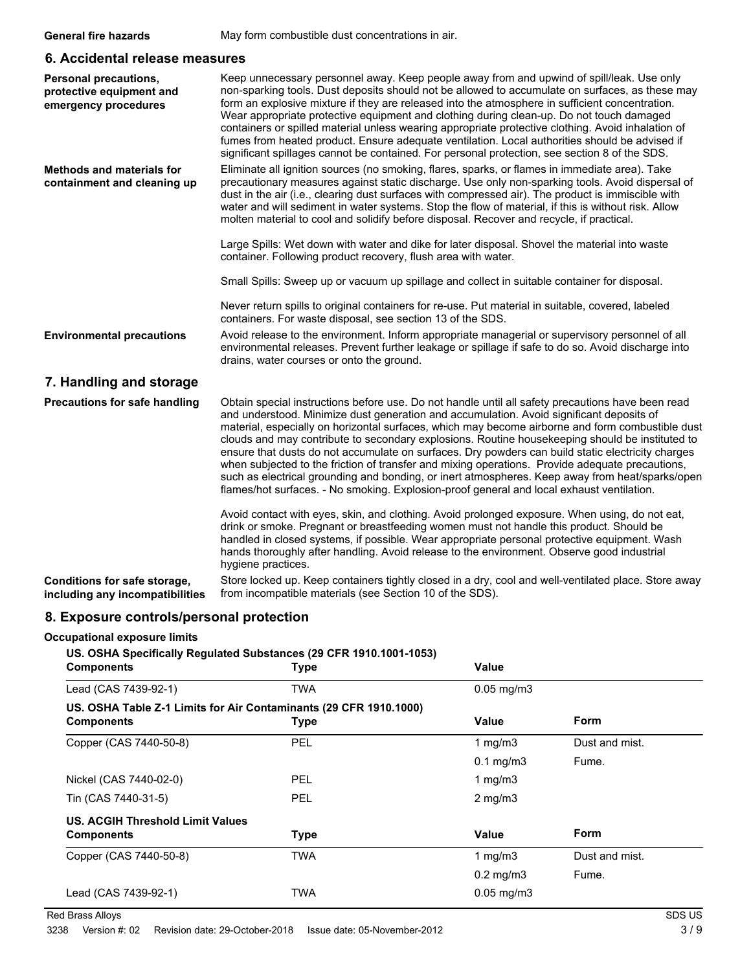# **6. Accidental release measures**

| <b>Personal precautions,</b><br>protective equipment and<br>emergency procedures | Keep unnecessary personnel away. Keep people away from and upwind of spill/leak. Use only<br>non-sparking tools. Dust deposits should not be allowed to accumulate on surfaces, as these may<br>form an explosive mixture if they are released into the atmosphere in sufficient concentration.<br>Wear appropriate protective equipment and clothing during clean-up. Do not touch damaged<br>containers or spilled material unless wearing appropriate protective clothing. Avoid inhalation of<br>fumes from heated product. Ensure adequate ventilation. Local authorities should be advised if<br>significant spillages cannot be contained. For personal protection, see section 8 of the SDS.                                                                                                         |
|----------------------------------------------------------------------------------|--------------------------------------------------------------------------------------------------------------------------------------------------------------------------------------------------------------------------------------------------------------------------------------------------------------------------------------------------------------------------------------------------------------------------------------------------------------------------------------------------------------------------------------------------------------------------------------------------------------------------------------------------------------------------------------------------------------------------------------------------------------------------------------------------------------|
| <b>Methods and materials for</b><br>containment and cleaning up                  | Eliminate all ignition sources (no smoking, flares, sparks, or flames in immediate area). Take<br>precautionary measures against static discharge. Use only non-sparking tools. Avoid dispersal of<br>dust in the air (i.e., clearing dust surfaces with compressed air). The product is immiscible with<br>water and will sediment in water systems. Stop the flow of material, if this is without risk. Allow<br>molten material to cool and solidify before disposal. Recover and recycle, if practical.                                                                                                                                                                                                                                                                                                  |
|                                                                                  | Large Spills: Wet down with water and dike for later disposal. Shovel the material into waste<br>container. Following product recovery, flush area with water.                                                                                                                                                                                                                                                                                                                                                                                                                                                                                                                                                                                                                                               |
|                                                                                  | Small Spills: Sweep up or vacuum up spillage and collect in suitable container for disposal.                                                                                                                                                                                                                                                                                                                                                                                                                                                                                                                                                                                                                                                                                                                 |
|                                                                                  | Never return spills to original containers for re-use. Put material in suitable, covered, labeled<br>containers. For waste disposal, see section 13 of the SDS.                                                                                                                                                                                                                                                                                                                                                                                                                                                                                                                                                                                                                                              |
| <b>Environmental precautions</b>                                                 | Avoid release to the environment. Inform appropriate managerial or supervisory personnel of all<br>environmental releases. Prevent further leakage or spillage if safe to do so. Avoid discharge into<br>drains, water courses or onto the ground.                                                                                                                                                                                                                                                                                                                                                                                                                                                                                                                                                           |
| 7. Handling and storage                                                          |                                                                                                                                                                                                                                                                                                                                                                                                                                                                                                                                                                                                                                                                                                                                                                                                              |
| <b>Precautions for safe handling</b>                                             | Obtain special instructions before use. Do not handle until all safety precautions have been read<br>and understood. Minimize dust generation and accumulation. Avoid significant deposits of<br>material, especially on horizontal surfaces, which may become airborne and form combustible dust<br>clouds and may contribute to secondary explosions. Routine housekeeping should be instituted to<br>ensure that dusts do not accumulate on surfaces. Dry powders can build static electricity charges<br>when subjected to the friction of transfer and mixing operations. Provide adequate precautions,<br>such as electrical grounding and bonding, or inert atmospheres. Keep away from heat/sparks/open<br>flames/hot surfaces. - No smoking. Explosion-proof general and local exhaust ventilation. |
|                                                                                  | Avoid contact with eyes, skin, and clothing. Avoid prolonged exposure. When using, do not eat,<br>drink or smoke. Pregnant or breastfeeding women must not handle this product. Should be<br>handled in closed systems, if possible. Wear appropriate personal protective equipment. Wash<br>hands thoroughly after handling. Avoid release to the environment. Observe good industrial<br>hygiene practices.                                                                                                                                                                                                                                                                                                                                                                                                |
| Conditions for safe storage,<br>including any incompatibilities                  | Store locked up. Keep containers tightly closed in a dry, cool and well-ventilated place. Store away<br>from incompatible materials (see Section 10 of the SDS).                                                                                                                                                                                                                                                                                                                                                                                                                                                                                                                                                                                                                                             |

# **8. Exposure controls/personal protection**

# **Occupational exposure limits**

# **US. OSHA Specifically Regulated Substances (29 CFR 1910.1001-1053)**

| <b>Components</b>                                                 | <b>Type</b> | <b>Value</b>    |                |  |
|-------------------------------------------------------------------|-------------|-----------------|----------------|--|
| Lead (CAS 7439-92-1)                                              | <b>TWA</b>  | $0.05$ mg/m $3$ |                |  |
| US. OSHA Table Z-1 Limits for Air Contaminants (29 CFR 1910.1000) |             |                 |                |  |
| <b>Components</b>                                                 | <b>Type</b> | Value           | Form           |  |
| Copper (CAS 7440-50-8)                                            | PEL         | 1 mg/m $3$      | Dust and mist. |  |
|                                                                   |             | $0.1$ mg/m $3$  | Fume.          |  |
| Nickel (CAS 7440-02-0)                                            | <b>PEL</b>  | 1 mg/m $3$      |                |  |
| Tin (CAS 7440-31-5)                                               | <b>PEL</b>  | $2$ mg/m $3$    |                |  |
| <b>US. ACGIH Threshold Limit Values</b>                           |             |                 |                |  |
| <b>Components</b>                                                 | <b>Type</b> | <b>Value</b>    | Form           |  |
| Copper (CAS 7440-50-8)                                            | <b>TWA</b>  | 1 mg/m $3$      | Dust and mist. |  |
|                                                                   |             | $0.2$ mg/m $3$  | Fume.          |  |
| Lead (CAS 7439-92-1)                                              | <b>TWA</b>  | $0.05$ mg/m $3$ |                |  |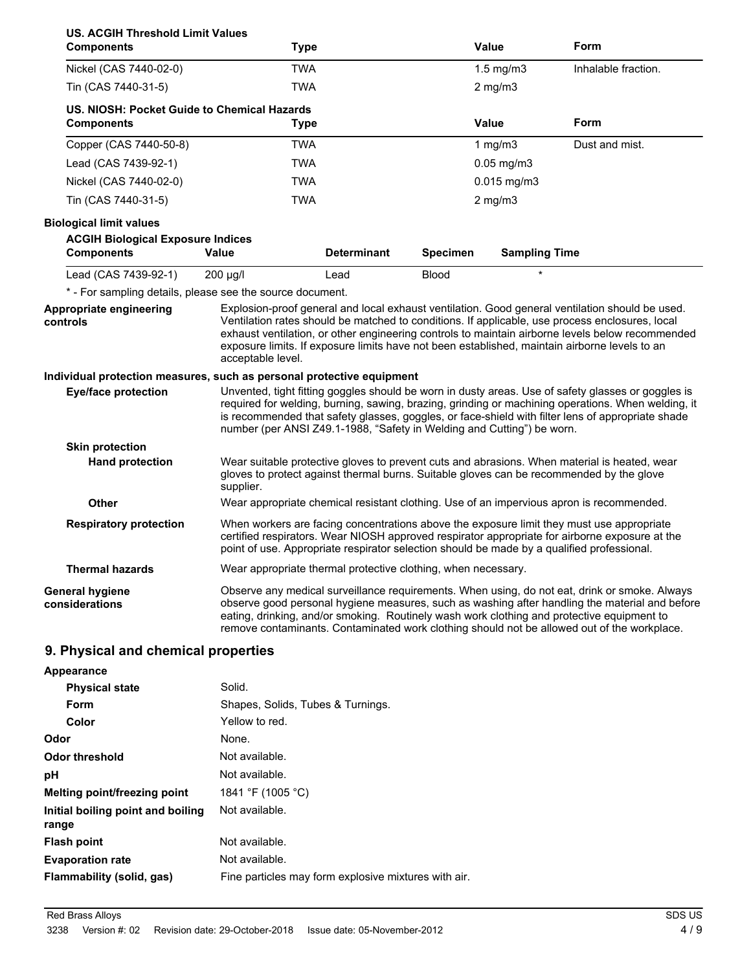| <b>US. ACGIH Threshold Limit Values</b><br><b>Components</b>                                    |                                                                                                                                                                                                                                                                                                                                                                                              | <b>Type</b>                                                            |                 | Value                | Form                                                                                                                                                                                                                                                                                                                                                                                                    |
|-------------------------------------------------------------------------------------------------|----------------------------------------------------------------------------------------------------------------------------------------------------------------------------------------------------------------------------------------------------------------------------------------------------------------------------------------------------------------------------------------------|------------------------------------------------------------------------|-----------------|----------------------|---------------------------------------------------------------------------------------------------------------------------------------------------------------------------------------------------------------------------------------------------------------------------------------------------------------------------------------------------------------------------------------------------------|
| Nickel (CAS 7440-02-0)                                                                          |                                                                                                                                                                                                                                                                                                                                                                                              | <b>TWA</b>                                                             |                 | $1.5$ mg/m $3$       | Inhalable fraction.                                                                                                                                                                                                                                                                                                                                                                                     |
| Tin (CAS 7440-31-5)                                                                             |                                                                                                                                                                                                                                                                                                                                                                                              | <b>TWA</b>                                                             |                 | $2$ mg/m $3$         |                                                                                                                                                                                                                                                                                                                                                                                                         |
| US. NIOSH: Pocket Guide to Chemical Hazards<br><b>Components</b>                                |                                                                                                                                                                                                                                                                                                                                                                                              | <b>Type</b>                                                            |                 | <b>Value</b>         | Form                                                                                                                                                                                                                                                                                                                                                                                                    |
| Copper (CAS 7440-50-8)                                                                          |                                                                                                                                                                                                                                                                                                                                                                                              | <b>TWA</b>                                                             |                 | 1 $mg/m3$            | Dust and mist.                                                                                                                                                                                                                                                                                                                                                                                          |
| Lead (CAS 7439-92-1)                                                                            |                                                                                                                                                                                                                                                                                                                                                                                              | <b>TWA</b>                                                             |                 | $0.05$ mg/m $3$      |                                                                                                                                                                                                                                                                                                                                                                                                         |
| Nickel (CAS 7440-02-0)                                                                          |                                                                                                                                                                                                                                                                                                                                                                                              | <b>TWA</b>                                                             |                 | $0.015$ mg/m3        |                                                                                                                                                                                                                                                                                                                                                                                                         |
| Tin (CAS 7440-31-5)                                                                             |                                                                                                                                                                                                                                                                                                                                                                                              | <b>TWA</b>                                                             |                 | $2$ mg/m $3$         |                                                                                                                                                                                                                                                                                                                                                                                                         |
| <b>Biological limit values</b><br><b>ACGIH Biological Exposure Indices</b><br><b>Components</b> | <b>Value</b>                                                                                                                                                                                                                                                                                                                                                                                 | <b>Determinant</b>                                                     | <b>Specimen</b> | <b>Sampling Time</b> |                                                                                                                                                                                                                                                                                                                                                                                                         |
| Lead (CAS 7439-92-1)                                                                            | 200 µg/l                                                                                                                                                                                                                                                                                                                                                                                     | Lead                                                                   | <b>Blood</b>    | $\star$              |                                                                                                                                                                                                                                                                                                                                                                                                         |
| * - For sampling details, please see the source document.                                       |                                                                                                                                                                                                                                                                                                                                                                                              |                                                                        |                 |                      |                                                                                                                                                                                                                                                                                                                                                                                                         |
| Appropriate engineering<br>controls                                                             | acceptable level.                                                                                                                                                                                                                                                                                                                                                                            |                                                                        |                 |                      | Explosion-proof general and local exhaust ventilation. Good general ventilation should be used.<br>Ventilation rates should be matched to conditions. If applicable, use process enclosures, local<br>exhaust ventilation, or other engineering controls to maintain airborne levels below recommended<br>exposure limits. If exposure limits have not been established, maintain airborne levels to an |
| <b>Eye/face protection</b>                                                                      |                                                                                                                                                                                                                                                                                                                                                                                              | number (per ANSI Z49.1-1988, "Safety in Welding and Cutting") be worn. |                 |                      | Unvented, tight fitting goggles should be worn in dusty areas. Use of safety glasses or goggles is<br>required for welding, burning, sawing, brazing, grinding or machining operations. When welding, it<br>is recommended that safety glasses, goggles, or face-shield with filter lens of appropriate shade                                                                                           |
| <b>Skin protection</b>                                                                          |                                                                                                                                                                                                                                                                                                                                                                                              |                                                                        |                 |                      |                                                                                                                                                                                                                                                                                                                                                                                                         |
| <b>Hand protection</b>                                                                          | supplier.                                                                                                                                                                                                                                                                                                                                                                                    |                                                                        |                 |                      | Wear suitable protective gloves to prevent cuts and abrasions. When material is heated, wear<br>gloves to protect against thermal burns. Suitable gloves can be recommended by the glove                                                                                                                                                                                                                |
| <b>Other</b>                                                                                    |                                                                                                                                                                                                                                                                                                                                                                                              |                                                                        |                 |                      | Wear appropriate chemical resistant clothing. Use of an impervious apron is recommended.                                                                                                                                                                                                                                                                                                                |
| <b>Respiratory protection</b>                                                                   | When workers are facing concentrations above the exposure limit they must use appropriate<br>certified respirators. Wear NIOSH approved respirator appropriate for airborne exposure at the<br>point of use. Appropriate respirator selection should be made by a qualified professional.                                                                                                    |                                                                        |                 |                      |                                                                                                                                                                                                                                                                                                                                                                                                         |
| <b>Thermal hazards</b>                                                                          |                                                                                                                                                                                                                                                                                                                                                                                              | Wear appropriate thermal protective clothing, when necessary.          |                 |                      |                                                                                                                                                                                                                                                                                                                                                                                                         |
| <b>General hygiene</b><br>considerations                                                        | Observe any medical surveillance requirements. When using, do not eat, drink or smoke. Always<br>observe good personal hygiene measures, such as washing after handling the material and before<br>eating, drinking, and/or smoking. Routinely wash work clothing and protective equipment to<br>remove contaminants. Contaminated work clothing should not be allowed out of the workplace. |                                                                        |                 |                      |                                                                                                                                                                                                                                                                                                                                                                                                         |
| 9. Physical and chemical properties                                                             |                                                                                                                                                                                                                                                                                                                                                                                              |                                                                        |                 |                      |                                                                                                                                                                                                                                                                                                                                                                                                         |
| Appearance                                                                                      |                                                                                                                                                                                                                                                                                                                                                                                              |                                                                        |                 |                      |                                                                                                                                                                                                                                                                                                                                                                                                         |
| <b>Physical state</b>                                                                           | Solid.                                                                                                                                                                                                                                                                                                                                                                                       |                                                                        |                 |                      |                                                                                                                                                                                                                                                                                                                                                                                                         |
| Form                                                                                            |                                                                                                                                                                                                                                                                                                                                                                                              | Shapes, Solids, Tubes & Turnings.                                      |                 |                      |                                                                                                                                                                                                                                                                                                                                                                                                         |
| Color                                                                                           | Yellow to red.                                                                                                                                                                                                                                                                                                                                                                               |                                                                        |                 |                      |                                                                                                                                                                                                                                                                                                                                                                                                         |
| Odor                                                                                            | None.                                                                                                                                                                                                                                                                                                                                                                                        |                                                                        |                 |                      |                                                                                                                                                                                                                                                                                                                                                                                                         |
| Odor threshold                                                                                  | Not available.                                                                                                                                                                                                                                                                                                                                                                               |                                                                        |                 |                      |                                                                                                                                                                                                                                                                                                                                                                                                         |

Not available.

**Flammability (solid, gas)** Fine particles may form explosive mixtures with air.

**pH** Not available. **Melting point/freezing point** 1841 °F (1005 °C)

**Flash point** Not available. **Evaporation rate** Not available.

**Initial boiling point and boiling**

**range**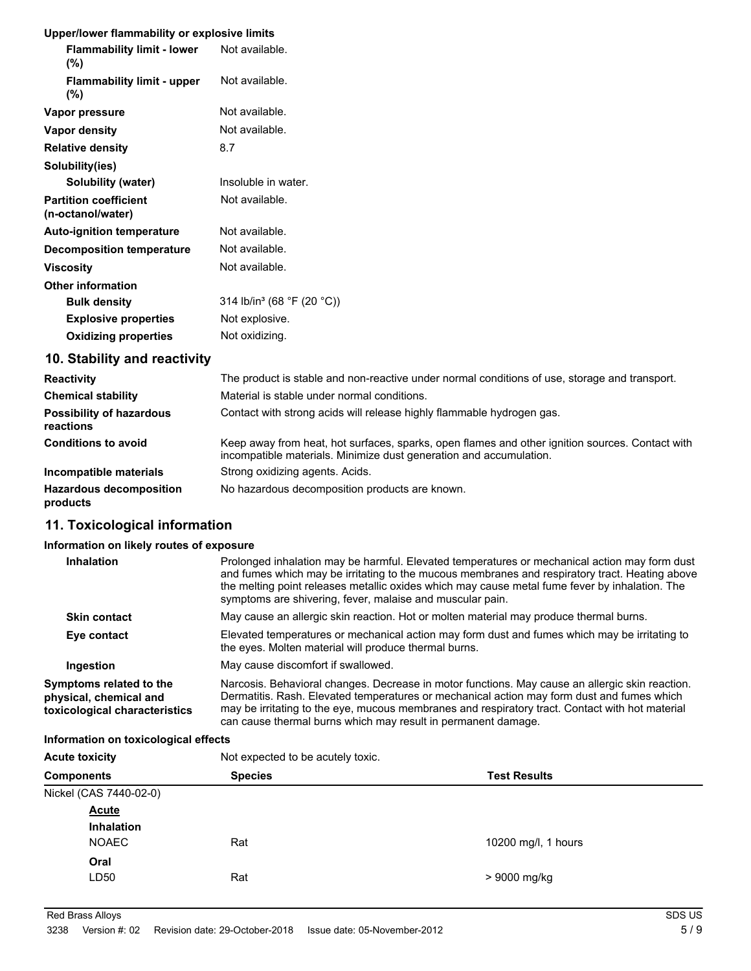# **Upper/lower flammability or explosive limits**

| <b>Flammability limit - lower</b><br>(%)          | Not available.                         |
|---------------------------------------------------|----------------------------------------|
| <b>Flammability limit - upper</b><br>(%)          | Not available.                         |
| Vapor pressure                                    | Not available.                         |
| Vapor density                                     | Not available.                         |
| <b>Relative density</b>                           | 8.7                                    |
| Solubility(ies)                                   |                                        |
| Solubility (water)                                | Insoluble in water.                    |
| <b>Partition coefficient</b><br>(n-octanol/water) | Not available.                         |
| <b>Auto-ignition temperature</b>                  | Not available.                         |
| <b>Decomposition temperature</b>                  | Not available.                         |
| <b>Viscosity</b>                                  | Not available.                         |
| <b>Other information</b>                          |                                        |
| <b>Bulk density</b>                               | 314 lb/in <sup>3</sup> (68 °F (20 °C)) |
| <b>Explosive properties</b>                       | Not explosive.                         |
| <b>Oxidizing properties</b>                       | Not oxidizing.                         |
|                                                   |                                        |

# **10. Stability and reactivity**

| <b>Reactivity</b>                            | The product is stable and non-reactive under normal conditions of use, storage and transport.                                                                         |
|----------------------------------------------|-----------------------------------------------------------------------------------------------------------------------------------------------------------------------|
| <b>Chemical stability</b>                    | Material is stable under normal conditions.                                                                                                                           |
| <b>Possibility of hazardous</b><br>reactions | Contact with strong acids will release highly flammable hydrogen gas.                                                                                                 |
| <b>Conditions to avoid</b>                   | Keep away from heat, hot surfaces, sparks, open flames and other ignition sources. Contact with<br>incompatible materials. Minimize dust generation and accumulation. |
| Incompatible materials                       | Strong oxidizing agents. Acids.                                                                                                                                       |
| <b>Hazardous decomposition</b><br>products   | No hazardous decomposition products are known.                                                                                                                        |

# **11. Toxicological information**

# **Information on likely routes of exposure**

| <b>Inhalation</b>                                                                  | Prolonged inhalation may be harmful. Elevated temperatures or mechanical action may form dust<br>and fumes which may be irritating to the mucous membranes and respiratory tract. Heating above<br>the melting point releases metallic oxides which may cause metal fume fever by inhalation. The                                                                 |
|------------------------------------------------------------------------------------|-------------------------------------------------------------------------------------------------------------------------------------------------------------------------------------------------------------------------------------------------------------------------------------------------------------------------------------------------------------------|
|                                                                                    | symptoms are shivering, fever, malaise and muscular pain.                                                                                                                                                                                                                                                                                                         |
| <b>Skin contact</b>                                                                | May cause an allergic skin reaction. Hot or molten material may produce thermal burns.                                                                                                                                                                                                                                                                            |
| Eye contact                                                                        | Elevated temperatures or mechanical action may form dust and fumes which may be irritating to<br>the eyes. Molten material will produce thermal burns.                                                                                                                                                                                                            |
| Ingestion                                                                          | May cause discomfort if swallowed.                                                                                                                                                                                                                                                                                                                                |
| Symptoms related to the<br>physical, chemical and<br>toxicological characteristics | Narcosis. Behavioral changes. Decrease in motor functions. May cause an allergic skin reaction.<br>Dermatitis. Rash. Elevated temperatures or mechanical action may form dust and fumes which<br>may be irritating to the eye, mucous membranes and respiratory tract. Contact with hot material<br>can cause thermal burns which may result in permanent damage. |

#### **Information on toxicological effects**

| Not expected to be acutely toxic.   |                     |  |
|-------------------------------------|---------------------|--|
| <b>Components</b><br><b>Species</b> |                     |  |
|                                     |                     |  |
|                                     |                     |  |
|                                     |                     |  |
| Rat                                 | 10200 mg/l, 1 hours |  |
|                                     |                     |  |
| Rat                                 | > 9000 mg/kg        |  |
|                                     |                     |  |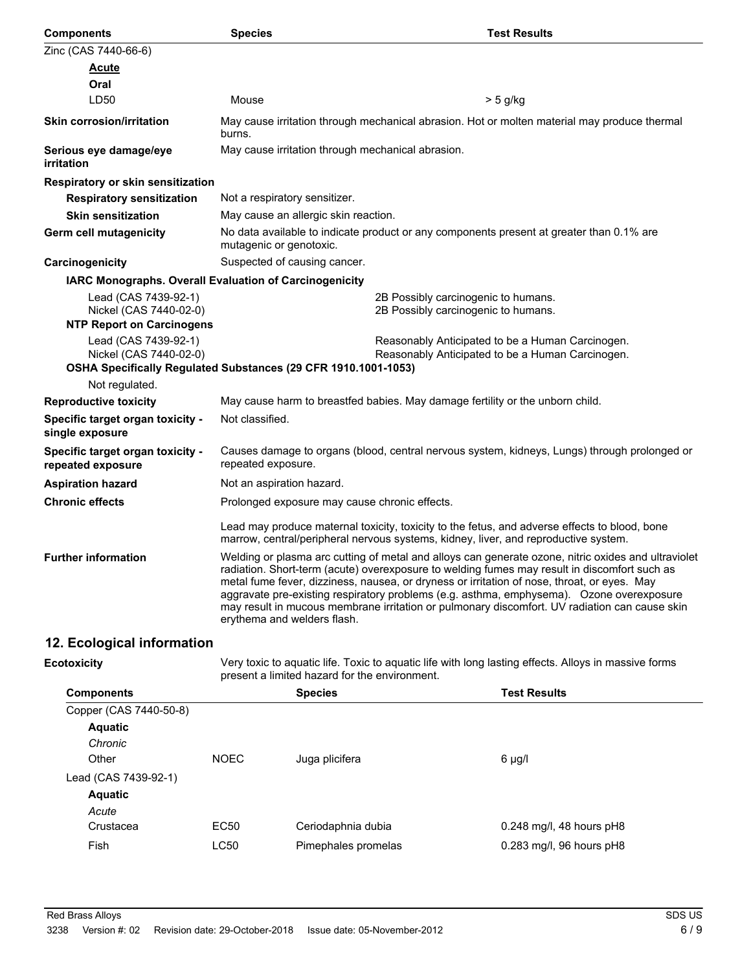| <b>Components</b>                                                                                                | <b>Species</b>                                                                                                     | <b>Test Results</b>                                                                                                                                                                                                                                                                                                                                                                                                                                                                             |
|------------------------------------------------------------------------------------------------------------------|--------------------------------------------------------------------------------------------------------------------|-------------------------------------------------------------------------------------------------------------------------------------------------------------------------------------------------------------------------------------------------------------------------------------------------------------------------------------------------------------------------------------------------------------------------------------------------------------------------------------------------|
| Zinc (CAS 7440-66-6)                                                                                             |                                                                                                                    |                                                                                                                                                                                                                                                                                                                                                                                                                                                                                                 |
| <u>Acute</u>                                                                                                     |                                                                                                                    |                                                                                                                                                                                                                                                                                                                                                                                                                                                                                                 |
| Oral                                                                                                             |                                                                                                                    |                                                                                                                                                                                                                                                                                                                                                                                                                                                                                                 |
| LD <sub>50</sub>                                                                                                 | Mouse                                                                                                              | $> 5$ g/kg                                                                                                                                                                                                                                                                                                                                                                                                                                                                                      |
| <b>Skin corrosion/irritation</b>                                                                                 | burns.                                                                                                             | May cause irritation through mechanical abrasion. Hot or molten material may produce thermal                                                                                                                                                                                                                                                                                                                                                                                                    |
| Serious eye damage/eye<br>irritation                                                                             | May cause irritation through mechanical abrasion.                                                                  |                                                                                                                                                                                                                                                                                                                                                                                                                                                                                                 |
| Respiratory or skin sensitization                                                                                |                                                                                                                    |                                                                                                                                                                                                                                                                                                                                                                                                                                                                                                 |
| <b>Respiratory sensitization</b>                                                                                 | Not a respiratory sensitizer.                                                                                      |                                                                                                                                                                                                                                                                                                                                                                                                                                                                                                 |
| <b>Skin sensitization</b>                                                                                        | May cause an allergic skin reaction.                                                                               |                                                                                                                                                                                                                                                                                                                                                                                                                                                                                                 |
| <b>Germ cell mutagenicity</b>                                                                                    | mutagenic or genotoxic.                                                                                            | No data available to indicate product or any components present at greater than 0.1% are                                                                                                                                                                                                                                                                                                                                                                                                        |
| Carcinogenicity                                                                                                  | Suspected of causing cancer.                                                                                       |                                                                                                                                                                                                                                                                                                                                                                                                                                                                                                 |
| IARC Monographs. Overall Evaluation of Carcinogenicity                                                           |                                                                                                                    |                                                                                                                                                                                                                                                                                                                                                                                                                                                                                                 |
| Lead (CAS 7439-92-1)<br>Nickel (CAS 7440-02-0)<br><b>NTP Report on Carcinogens</b>                               |                                                                                                                    | 2B Possibly carcinogenic to humans.<br>2B Possibly carcinogenic to humans.                                                                                                                                                                                                                                                                                                                                                                                                                      |
| Lead (CAS 7439-92-1)<br>Nickel (CAS 7440-02-0)<br>OSHA Specifically Regulated Substances (29 CFR 1910.1001-1053) |                                                                                                                    | Reasonably Anticipated to be a Human Carcinogen.<br>Reasonably Anticipated to be a Human Carcinogen.                                                                                                                                                                                                                                                                                                                                                                                            |
| Not regulated.                                                                                                   |                                                                                                                    |                                                                                                                                                                                                                                                                                                                                                                                                                                                                                                 |
| <b>Reproductive toxicity</b>                                                                                     | May cause harm to breastfed babies. May damage fertility or the unborn child.                                      |                                                                                                                                                                                                                                                                                                                                                                                                                                                                                                 |
| Specific target organ toxicity -<br>single exposure                                                              | Not classified.                                                                                                    |                                                                                                                                                                                                                                                                                                                                                                                                                                                                                                 |
| Specific target organ toxicity -<br>repeated exposure                                                            | Causes damage to organs (blood, central nervous system, kidneys, Lungs) through prolonged or<br>repeated exposure. |                                                                                                                                                                                                                                                                                                                                                                                                                                                                                                 |
| <b>Aspiration hazard</b>                                                                                         | Not an aspiration hazard.                                                                                          |                                                                                                                                                                                                                                                                                                                                                                                                                                                                                                 |
| <b>Chronic effects</b>                                                                                           | Prolonged exposure may cause chronic effects.                                                                      |                                                                                                                                                                                                                                                                                                                                                                                                                                                                                                 |
|                                                                                                                  |                                                                                                                    | Lead may produce maternal toxicity, toxicity to the fetus, and adverse effects to blood, bone<br>marrow, central/peripheral nervous systems, kidney, liver, and reproductive system.                                                                                                                                                                                                                                                                                                            |
| <b>Further information</b>                                                                                       | erythema and welders flash.                                                                                        | Welding or plasma arc cutting of metal and alloys can generate ozone, nitric oxides and ultraviolet<br>radiation. Short-term (acute) overexposure to welding fumes may result in discomfort such as<br>metal fume fever, dizziness, nausea, or dryness or irritation of nose, throat, or eyes. May<br>aggravate pre-existing respiratory problems (e.g. asthma, emphysema). Ozone overexposure<br>may result in mucous membrane irritation or pulmonary discomfort. UV radiation can cause skin |
|                                                                                                                  |                                                                                                                    |                                                                                                                                                                                                                                                                                                                                                                                                                                                                                                 |

# **12. Ecological information**

**Ecotoxicity**

Very toxic to aquatic life. Toxic to aquatic life with long lasting effects. Alloys in massive forms present a limited hazard for the environment.

| <b>Components</b>      |             | <b>Species</b>      | <b>Test Results</b>        |
|------------------------|-------------|---------------------|----------------------------|
| Copper (CAS 7440-50-8) |             |                     |                            |
| <b>Aquatic</b>         |             |                     |                            |
| Chronic                |             |                     |                            |
| Other                  | <b>NOEC</b> | Juga plicifera      | 6 µg/l                     |
| Lead (CAS 7439-92-1)   |             |                     |                            |
| <b>Aquatic</b>         |             |                     |                            |
| Acute                  |             |                     |                            |
| Crustacea              | EC50        | Ceriodaphnia dubia  | $0.248$ mg/l, 48 hours pH8 |
| Fish                   | LC50        | Pimephales promelas | 0.283 mg/l, 96 hours pH8   |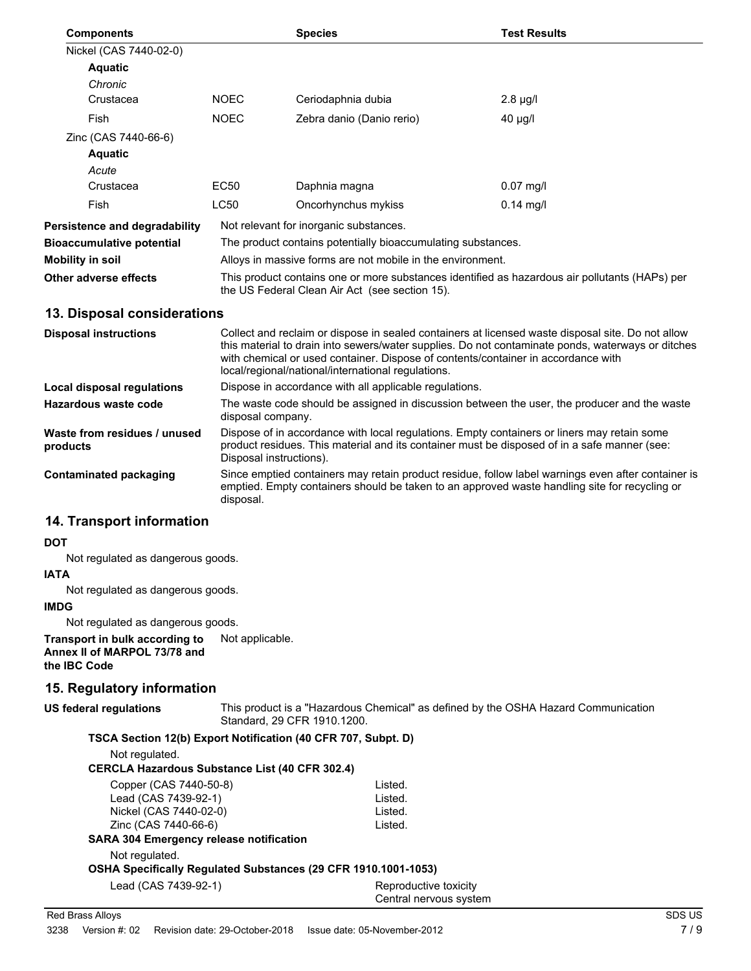| <b>Components</b>             |                                                                                                                                                  | <b>Species</b>            | <b>Test Results</b> |
|-------------------------------|--------------------------------------------------------------------------------------------------------------------------------------------------|---------------------------|---------------------|
| Nickel (CAS 7440-02-0)        |                                                                                                                                                  |                           |                     |
| <b>Aquatic</b>                |                                                                                                                                                  |                           |                     |
| Chronic                       |                                                                                                                                                  |                           |                     |
| Crustacea                     | <b>NOEC</b>                                                                                                                                      | Ceriodaphnia dubia        | $2.8 \mu g/l$       |
| Fish                          | <b>NOEC</b>                                                                                                                                      | Zebra danio (Danio rerio) | $40 \mu g/l$        |
| Zinc (CAS 7440-66-6)          |                                                                                                                                                  |                           |                     |
| <b>Aquatic</b>                |                                                                                                                                                  |                           |                     |
| Acute                         |                                                                                                                                                  |                           |                     |
| Crustacea                     | EC50                                                                                                                                             | Daphnia magna             | $0.07$ mg/l         |
| Fish                          | <b>LC50</b>                                                                                                                                      | Oncorhynchus mykiss       | $0.14$ mg/l         |
| Persistence and degradability | Not relevant for inorganic substances.                                                                                                           |                           |                     |
| Bioaccumulative potential     | The product contains potentially bioaccumulating substances.                                                                                     |                           |                     |
| Mobility in soil              | Alloys in massive forms are not mobile in the environment.                                                                                       |                           |                     |
| Other adverse effects         | This product contains one or more substances identified as hazardous air pollutants (HAPs) per<br>the US Federal Clean Air Act (see section 15). |                           |                     |

# **13. Disposal considerations**

| <b>Disposal instructions</b>             | Collect and reclaim or dispose in sealed containers at licensed waste disposal site. Do not allow<br>this material to drain into sewers/water supplies. Do not contaminate ponds, waterways or ditches<br>with chemical or used container. Dispose of contents/container in accordance with<br>local/regional/national/international regulations. |
|------------------------------------------|---------------------------------------------------------------------------------------------------------------------------------------------------------------------------------------------------------------------------------------------------------------------------------------------------------------------------------------------------|
| Local disposal regulations               | Dispose in accordance with all applicable regulations.                                                                                                                                                                                                                                                                                            |
| Hazardous waste code                     | The waste code should be assigned in discussion between the user, the producer and the waste<br>disposal company.                                                                                                                                                                                                                                 |
| Waste from residues / unused<br>products | Dispose of in accordance with local regulations. Empty containers or liners may retain some<br>product residues. This material and its container must be disposed of in a safe manner (see:<br>Disposal instructions).                                                                                                                            |
| Contaminated packaging                   | Since emptied containers may retain product residue, follow label warnings even after container is<br>emptied. Empty containers should be taken to an approved waste handling site for recycling or<br>disposal.                                                                                                                                  |

# **14. Transport information**

#### **DOT**

Not regulated as dangerous goods.

### **IATA**

Not regulated as dangerous goods.

# **IMDG**

Not regulated as dangerous goods.

**Transport in bulk according to** Not applicable. **Annex II of MARPOL 73/78 and the IBC Code**

# **15. Regulatory information**

# **US federal regulations**

This product is a "Hazardous Chemical" as defined by the OSHA Hazard Communication Standard, 29 CFR 1910.1200.

# **TSCA Section 12(b) Export Notification (40 CFR 707, Subpt. D)**

Not regulated.

# **CERCLA Hazardous Substance List (40 CFR 302.4)**

| Copper (CAS 7440-50-8)                                         | Listed. |
|----------------------------------------------------------------|---------|
| Lead (CAS 7439-92-1)                                           | Listed. |
| Nickel (CAS 7440-02-0)                                         | Listed. |
| Zinc (CAS 7440-66-6)                                           | Listed. |
| <b>SARA 304 Emergency release notification</b>                 |         |
| Not regulated.                                                 |         |
| OSHA Specifically Regulated Substances (29 CFR 1910.1001-1053) |         |

Lead (CAS 7439-92-1) Reproductive toxicity

Central nervous system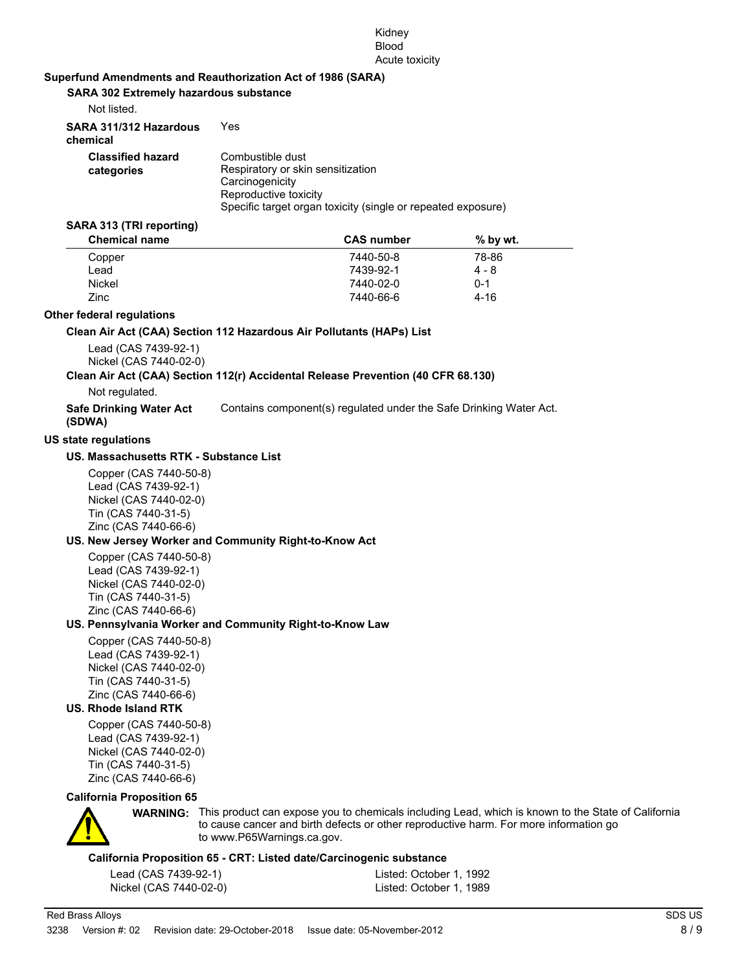#### Kidney Blood Acute toxicity

### **Superfund Amendments and Reauthorization Act of 1986 (SARA)**

**SARA 302 Extremely hazardous substance**

| Not listed.                            |                                                                                                                                                                   |
|----------------------------------------|-------------------------------------------------------------------------------------------------------------------------------------------------------------------|
| SARA 311/312 Hazardous<br>chemical     | Yes                                                                                                                                                               |
| <b>Classified hazard</b><br>categories | Combustible dust<br>Respiratory or skin sensitization<br>Carcinogenicity<br>Reproductive toxicity<br>Specific target organ toxicity (single or repeated exposure) |

#### **SARA 313 (TRI reporting)**

| <b>CAS</b> number | $%$ by wt. |  |
|-------------------|------------|--|
| 7440-50-8         | 78-86      |  |
| 7439-92-1         | 4 - 8      |  |
| 7440-02-0         | $0 - 1$    |  |
| 7440-66-6         | $4 - 16$   |  |
|                   |            |  |

#### **Other federal regulations**

#### **Clean Air Act (CAA) Section 112 Hazardous Air Pollutants (HAPs) List**

Lead (CAS 7439-92-1) Nickel (CAS 7440-02-0)

#### **Clean Air Act (CAA) Section 112(r) Accidental Release Prevention (40 CFR 68.130)**

Not regulated.

| <b>Safe Drinking Water Act</b> | Contains component(s) regulated under the Safe Drinking Water Act. |
|--------------------------------|--------------------------------------------------------------------|
| (SDWA)                         |                                                                    |

#### **US state regulations**

#### **US. Massachusetts RTK - Substance List**

Copper (CAS 7440-50-8) Lead (CAS 7439-92-1) Nickel (CAS 7440-02-0) Tin (CAS 7440-31-5) Zinc (CAS 7440-66-6)

### **US. New Jersey Worker and Community Right-to-Know Act**

Copper (CAS 7440-50-8) Lead (CAS 7439-92-1) Nickel (CAS 7440-02-0) Tin (CAS 7440-31-5) Zinc (CAS 7440-66-6)

#### **US. Pennsylvania Worker and Community Right-to-Know Law**

Copper (CAS 7440-50-8) Lead (CAS 7439-92-1) Nickel (CAS 7440-02-0) Tin (CAS 7440-31-5) Zinc (CAS 7440-66-6)

# **US. Rhode Island RTK**

Copper (CAS 7440-50-8) Lead (CAS 7439-92-1) Nickel (CAS 7440-02-0) Tin (CAS 7440-31-5) Zinc (CAS 7440-66-6)

# **California Proposition 65**



**WARNING:** This product can expose you to chemicals including Lead, which is known to the State of California to cause cancer and birth defects or other reproductive harm. For more information go to www.P65Warnings.ca.gov.

# **California Proposition 65 - CRT: Listed date/Carcinogenic substance**

| Lead (CAS 7439-92-1)   | Listed: October 1, 1992 |
|------------------------|-------------------------|
| Nickel (CAS 7440-02-0) | Listed: October 1, 1989 |